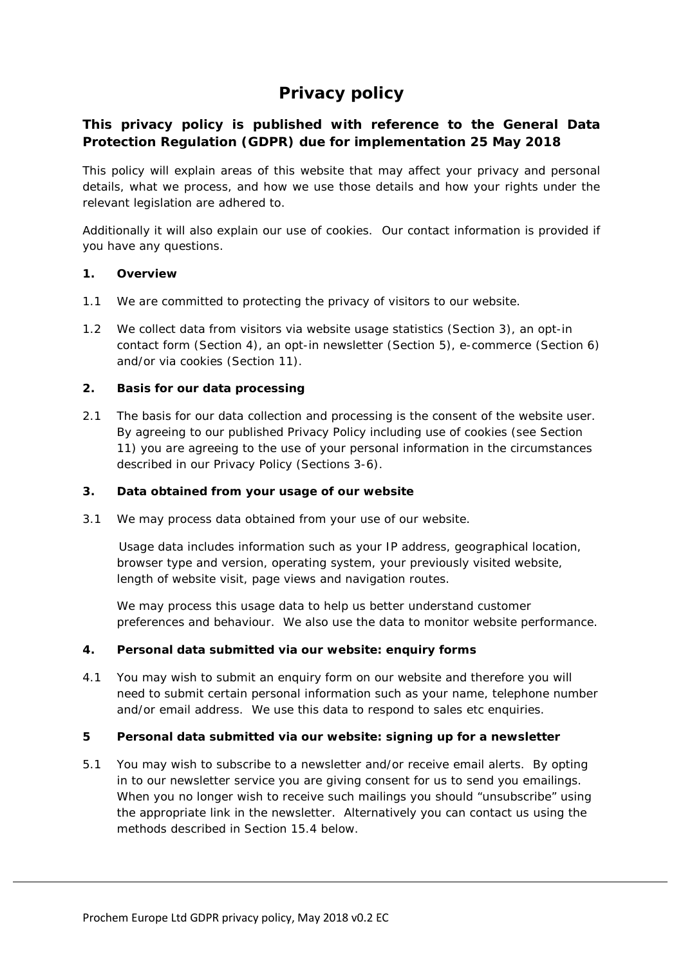# **Privacy policy**

# **This privacy policy is published with reference to the General Data Protection Regulation (GDPR) due for implementation 25 May 2018**

This policy will explain areas of this website that may affect your privacy and personal details, what we process, and how we use those details and how your rights under the relevant legislation are adhered to.

Additionally it will also explain our use of cookies. Our contact information is provided if you have any questions.

# **1. Overview**

- 1.1 We are committed to protecting the privacy of visitors to our website.
- 1.2 We collect data from visitors via website usage statistics (Section 3), an opt-in contact form (Section 4), an opt-in newsletter (Section 5), e-commerce (Section 6) and/or via cookies (Section 11).

# **2. Basis for our data processing**

2.1 The basis for our data collection and processing is the consent of the website user. By agreeing to our published Privacy Policy including use of cookies (see Section 11) you are agreeing to the use of your personal information in the circumstances described in our Privacy Policy (Sections 3-6).

### **3. Data obtained from your usage of our website**

3.1 We may process data obtained from your use of our website.

 Usage data includes information such as your IP address, geographical location, browser type and version, operating system, your previously visited website, length of website visit, page views and navigation routes.

We may process this usage data to help us better understand customer preferences and behaviour. We also use the data to monitor website performance.

### **4. Personal data submitted via our website: enquiry forms**

4.1 You may wish to submit an enquiry form on our website and therefore you will need to submit certain personal information such as your name, telephone number and/or email address. We use this data to respond to sales etc enquiries.

### **5 Personal data submitted via our website: signing up for a newsletter**

5.1 You may wish to subscribe to a newsletter and/or receive email alerts. By opting in to our newsletter service you are giving consent for us to send you emailings. When you no longer wish to receive such mailings you should "unsubscribe" using the appropriate link in the newsletter. Alternatively you can contact us using the methods described in Section 15.4 below.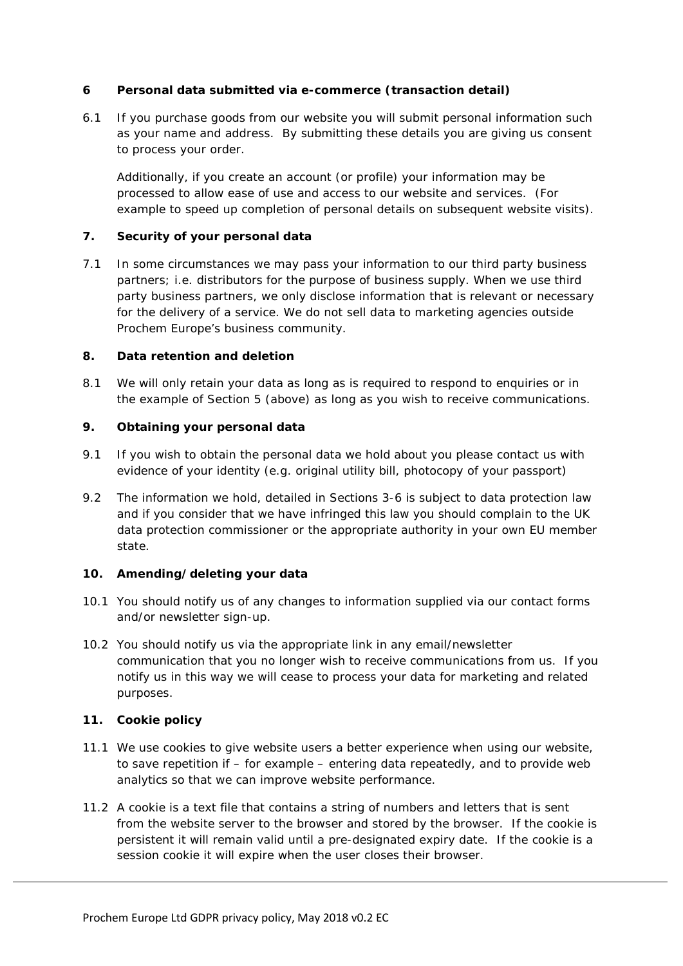# **6 Personal data submitted via e-commerce (transaction detail)**

6.1 If you purchase goods from our website you will submit personal information such as your name and address. By submitting these details you are giving us consent to process your order.

Additionally, if you create an account (or profile) your information may be processed to allow ease of use and access to our website and services. (For example to speed up completion of personal details on subsequent website visits).

# **7. Security of your personal data**

7.1 In some circumstances we may pass your information to our third party business partners; i.e. distributors for the purpose of business supply. When we use third party business partners, we only disclose information that is relevant or necessary for the delivery of a service. We do not sell data to marketing agencies outside Prochem Europe's business community.

# **8. Data retention and deletion**

8.1 We will only retain your data as long as is required to respond to enquiries or in the example of Section 5 (above) as long as you wish to receive communications.

# **9. Obtaining your personal data**

- 9.1 If you wish to obtain the personal data we hold about you please contact us with evidence of your identity (e.g. original utility bill, photocopy of your passport)
- 9.2 The information we hold, detailed in Sections 3-6 is subject to data protection law and if you consider that we have infringed this law you should complain to the UK data protection commissioner or the appropriate authority in your own EU member state.

### **10. Amending/deleting your data**

- 10.1 You should notify us of any changes to information supplied via our contact forms and/or newsletter sign-up.
- 10.2 You should notify us via the appropriate link in any email/newsletter communication that you no longer wish to receive communications from us. If you notify us in this way we will cease to process your data for marketing and related purposes.

### **11. Cookie policy**

- 11.1 We use cookies to give website users a better experience when using our website, to save repetition if – for example – entering data repeatedly, and to provide web analytics so that we can improve website performance.
- 11.2 A cookie is a text file that contains a string of numbers and letters that is sent from the website server to the browser and stored by the browser. If the cookie is persistent it will remain valid until a pre-designated expiry date. If the cookie is a session cookie it will expire when the user closes their browser.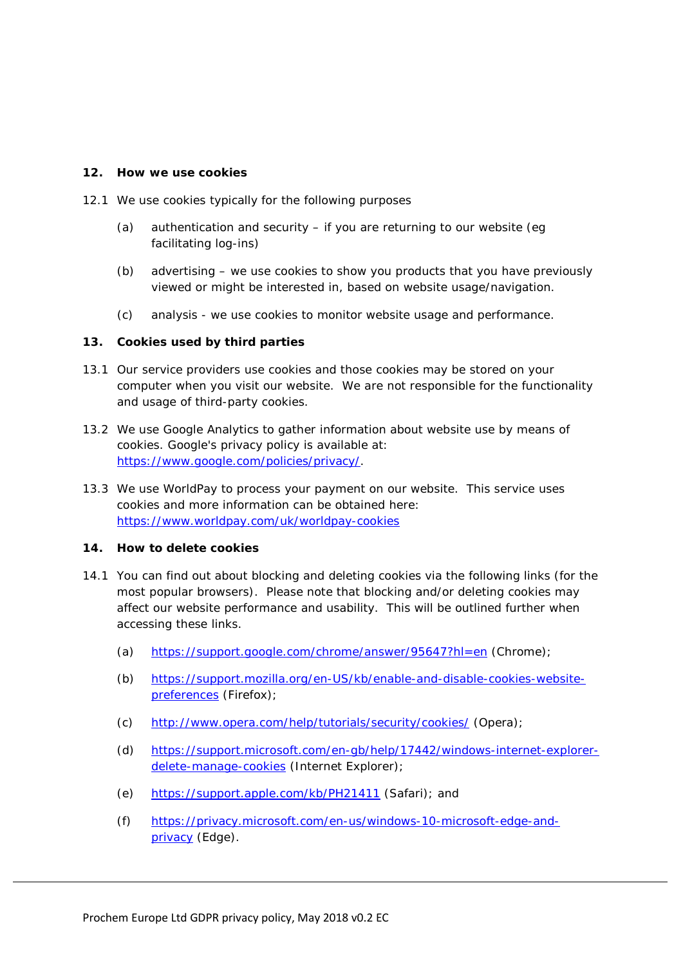#### **12. How we use cookies**

- 12.1 We use cookies typically for the following purposes
	- (a) authentication and security if you are returning to our website (eg facilitating log-ins)
	- (b) advertising we use cookies to show you products that you have previously viewed or might be interested in, based on website usage/navigation.
	- (c) analysis we use cookies to monitor website usage and performance.

### **13. Cookies used by third parties**

- 13.1 Our service providers use cookies and those cookies may be stored on your computer when you visit our website. We are not responsible for the functionality and usage of third-party cookies.
- 13.2 We use Google Analytics to gather information about website use by means of cookies. Google's privacy policy is available at: [https://www.google.com/policies/privacy/.](https://www.google.com/policies/privacy/)
- 13.3 We use WorldPay to process your payment on our website. This service uses cookies and more information can be obtained here: <https://www.worldpay.com/uk/worldpay-cookies>

### **14. How to delete cookies**

- 14.1 You can find out about blocking and deleting cookies via the following links (for the most popular browsers). Please note that blocking and/or deleting cookies may affect our website performance and usability. This will be outlined further when accessing these links.
	- (a) <https://support.google.com/chrome/answer/95647?hl=en> (Chrome);
	- (b) [https://support.mozilla.org/en-US/kb/enable-and-disable-cookies-website](https://support.mozilla.org/en-US/kb/enable-and-disable-cookies-website-preferences)[preferences](https://support.mozilla.org/en-US/kb/enable-and-disable-cookies-website-preferences) (Firefox);
	- (c) <http://www.opera.com/help/tutorials/security/cookies/> (Opera);
	- (d) [https://support.microsoft.com/en-gb/help/17442/windows-internet-explorer](https://support.microsoft.com/en-gb/help/17442/windows-internet-explorer-delete-manage-cookies)[delete-manage-cookies](https://support.microsoft.com/en-gb/help/17442/windows-internet-explorer-delete-manage-cookies) (Internet Explorer);
	- (e) <https://support.apple.com/kb/PH21411> (Safari); and
	- (f) [https://privacy.microsoft.com/en-us/windows-10-microsoft-edge-and](https://privacy.microsoft.com/en-us/windows-10-microsoft-edge-and-privacy)[privacy](https://privacy.microsoft.com/en-us/windows-10-microsoft-edge-and-privacy) (Edge).